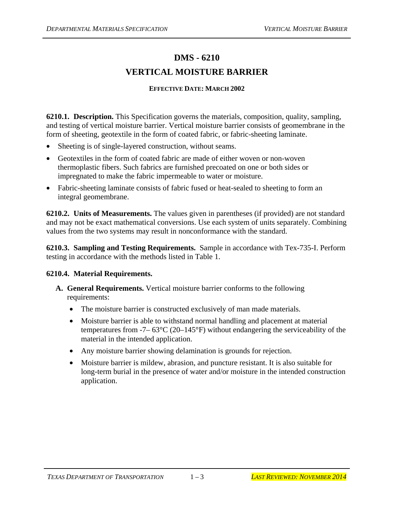## **DMS - 6210 VERTICAL MOISTURE BARRIER**

## **EFFECTIVE DATE: MARCH 2002**

**6210.1. Description.** This Specification governs the materials, composition, quality, sampling, and testing of vertical moisture barrier. Vertical moisture barrier consists of geomembrane in the form of sheeting, geotextile in the form of coated fabric, or fabric-sheeting laminate.

- Sheeting is of single-layered construction, without seams.
- Geotextiles in the form of coated fabric are made of either woven or non-woven thermoplastic fibers. Such fabrics are furnished precoated on one or both sides or impregnated to make the fabric impermeable to water or moisture.
- Fabric-sheeting laminate consists of fabric fused or heat-sealed to sheeting to form an integral geomembrane.

**6210.2. Units of Measurements.** The values given in parentheses (if provided) are not standard and may not be exact mathematical conversions. Use each system of units separately. Combining values from the two systems may result in nonconformance with the standard.

**6210.3. Sampling and Testing Requirements.** Sample in accordance with Tex-735-I. Perform testing in accordance with the methods listed in Table 1.

## **6210.4. Material Requirements.**

- **A. General Requirements.** Vertical moisture barrier conforms to the following requirements:
	- The moisture barrier is constructed exclusively of man made materials.
	- Moisture barrier is able to withstand normal handling and placement at material temperatures from  $-7-63^{\circ}C(20-145^{\circ}F)$  without endangering the serviceability of the material in the intended application.
	- Any moisture barrier showing delamination is grounds for rejection.
	- Moisture barrier is mildew, abrasion, and puncture resistant. It is also suitable for long-term burial in the presence of water and/or moisture in the intended construction application.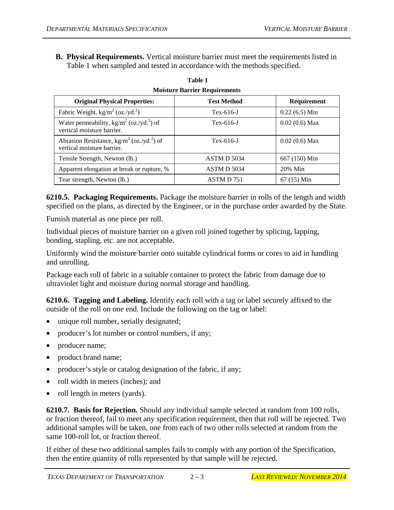**B. Physical Requirements.** Vertical moisture barrier must meet the requirements listed in Table 1 when sampled and tested in accordance with the methods specified.

| <b>MOISLUTE BATTIEF REQUITEMENTS</b>                                                            |                    |                 |  |
|-------------------------------------------------------------------------------------------------|--------------------|-----------------|--|
| <b>Original Physical Properties:</b>                                                            | <b>Test Method</b> | Requirement     |  |
| Fabric Weight, $\text{kg/m}^2$ (oz./yd. <sup>2</sup> )                                          | $Tex-616-J$        | $0.22(6.5)$ Min |  |
| Water permeability, kg/m <sup>2</sup> (oz./yd. <sup>2</sup> ) of<br>vertical moisture barrier.  | $Tex-616-J$        | $0.02(0.6)$ Max |  |
| Abrasion Resistance, kg/m <sup>2</sup> (oz./yd. <sup>2</sup> ) of<br>vertical moisture barrier. | $Tex-616-J$        | $0.02(0.6)$ Max |  |
| Tensile Strength, Newton (lb.)                                                                  | ASTM D 5034        | 667 (150) Min   |  |
| Apparent elongation at break or rupture, %                                                      | ASTM D 5034        | 20% Min         |  |
| Tear strength, Newton (lb.)                                                                     | ASTM D 751         | $67(15)$ Min    |  |

| Table 1 |  |                                      |  |
|---------|--|--------------------------------------|--|
|         |  | <b>Moisture Barrier Requirements</b> |  |

**6210.5. Packaging Requirements.** Package the moisture barrier in rolls of the length and width specified on the plans, as directed by the Engineer, or in the purchase order awarded by the State.

Furnish material as one piece per roll.

Individual pieces of moisture barrier on a given roll joined together by splicing, lapping, bonding, stapling, etc. are not acceptable.

Uniformly wind the moisture barrier onto suitable cylindrical forms or cores to aid in handling and unrolling.

Package each roll of fabric in a suitable container to protect the fabric from damage due to ultraviolet light and moisture during normal storage and handling.

**6210.6. Tagging and Labeling.** Identify each roll with a tag or label securely affixed to the outside of the roll on one end. Include the following on the tag or label:

- unique roll number, serially designated;
- producer's lot number or control numbers, if any;
- producer name;
- product brand name;
- producer's style or catalog designation of the fabric, if any;
- roll width in meters (inches); and
- roll length in meters (yards).

**6210.7. Basis for Rejection.** Should any individual sample selected at random from 100 rolls, or fraction thereof, fail to meet any specification requirement, then that roll will be rejected. Two additional samples will be taken, one from each of two other rolls selected at random from the same 100-roll lot, or fraction thereof.

If either of these two additional samples fails to comply with any portion of the Specification, then the entire quantity of rolls represented by that sample will be rejected.